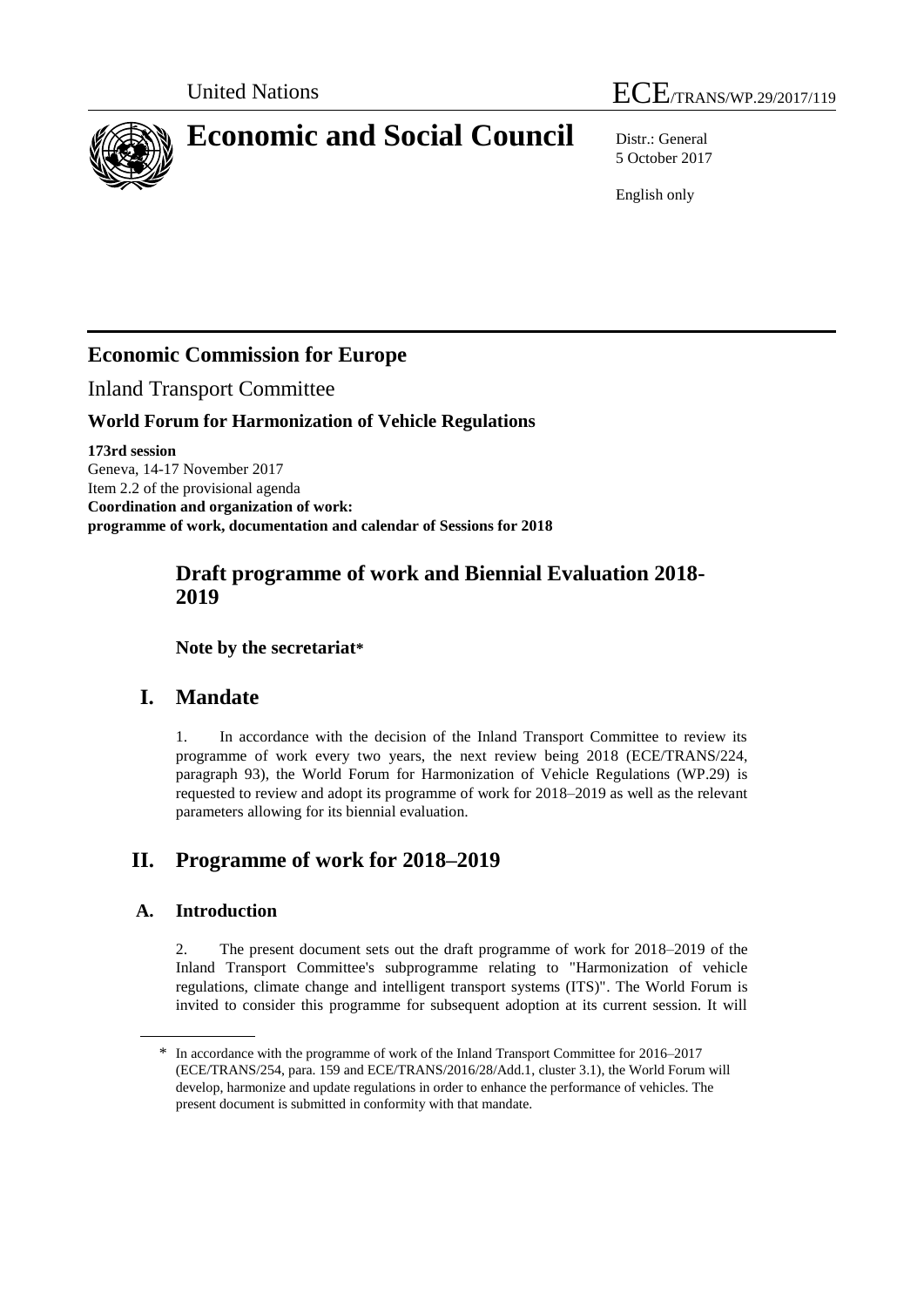



# **Economic and Social Council** Distr.: General

5 October 2017

English only

# **Economic Commission for Europe**

Inland Transport Committee

### **World Forum for Harmonization of Vehicle Regulations**

**173rd session** Geneva, 14-17 November 2017 Item 2.2 of the provisional agenda **Coordination and organization of work: programme of work, documentation and calendar of Sessions for 2018**

## **Draft programme of work and Biennial Evaluation 2018- 2019**

**Note by the secretariat\***

# **I. Mandate**

1. In accordance with the decision of the Inland Transport Committee to review its programme of work every two years, the next review being 2018 (ECE/TRANS/224, paragraph 93), the World Forum for Harmonization of Vehicle Regulations (WP.29) is requested to review and adopt its programme of work for 2018–2019 as well as the relevant parameters allowing for its biennial evaluation.

# **II. Programme of work for 2018–2019**

### **A. Introduction**

2. The present document sets out the draft programme of work for 2018–2019 of the Inland Transport Committee's subprogramme relating to "Harmonization of vehicle regulations, climate change and intelligent transport systems (ITS)". The World Forum is invited to consider this programme for subsequent adoption at its current session. It will

<sup>\*</sup> In accordance with the programme of work of the Inland Transport Committee for 2016–2017 (ECE/TRANS/254, para. 159 and ECE/TRANS/2016/28/Add.1, cluster 3.1), the World Forum will develop, harmonize and update regulations in order to enhance the performance of vehicles. The present document is submitted in conformity with that mandate.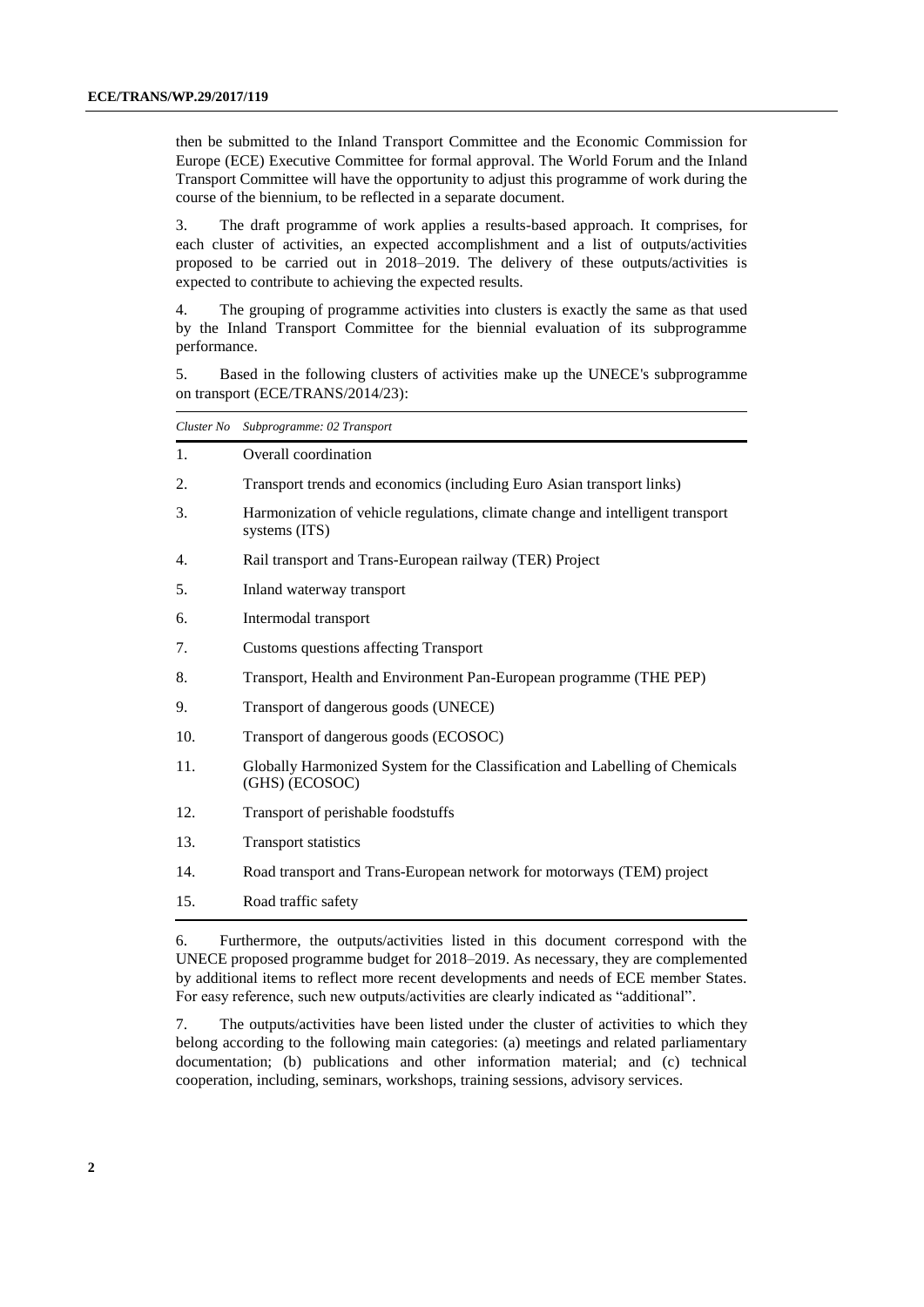then be submitted to the Inland Transport Committee and the Economic Commission for Europe (ECE) Executive Committee for formal approval. The World Forum and the Inland Transport Committee will have the opportunity to adjust this programme of work during the course of the biennium, to be reflected in a separate document.

3. The draft programme of work applies a results-based approach. It comprises, for each cluster of activities, an expected accomplishment and a list of outputs/activities proposed to be carried out in 2018–2019. The delivery of these outputs/activities is expected to contribute to achieving the expected results.

4. The grouping of programme activities into clusters is exactly the same as that used by the Inland Transport Committee for the biennial evaluation of its subprogramme performance.

5. Based in the following clusters of activities make up the UNECE's subprogramme on transport (ECE/TRANS/2014/23):

| Cluster No | Subprogramme: 02 Transport                                                                      |
|------------|-------------------------------------------------------------------------------------------------|
| 1.         | Overall coordination                                                                            |
| 2.         | Transport trends and economics (including Euro Asian transport links)                           |
| 3.         | Harmonization of vehicle regulations, climate change and intelligent transport<br>systems (ITS) |
| 4.         | Rail transport and Trans-European railway (TER) Project                                         |
| 5.         | Inland waterway transport                                                                       |
| 6.         | Intermodal transport                                                                            |
| 7.         | Customs questions affecting Transport                                                           |
| 8.         | Transport, Health and Environment Pan-European programme (THE PEP)                              |
| 9.         | Transport of dangerous goods (UNECE)                                                            |
| 10.        | Transport of dangerous goods (ECOSOC)                                                           |
| 11.        | Globally Harmonized System for the Classification and Labelling of Chemicals<br>(GHS) (ECOSOC)  |
| 12.        | Transport of perishable foodstuffs                                                              |
| 13.        | <b>Transport statistics</b>                                                                     |
| 14.        | Road transport and Trans-European network for motorways (TEM) project                           |
| 15.        | Road traffic safety                                                                             |
|            |                                                                                                 |

6. Furthermore, the outputs/activities listed in this document correspond with the UNECE proposed programme budget for 2018–2019. As necessary, they are complemented by additional items to reflect more recent developments and needs of ECE member States. For easy reference, such new outputs/activities are clearly indicated as "additional".

7. The outputs/activities have been listed under the cluster of activities to which they belong according to the following main categories: (a) meetings and related parliamentary documentation; (b) publications and other information material; and (c) technical cooperation, including, seminars, workshops, training sessions, advisory services.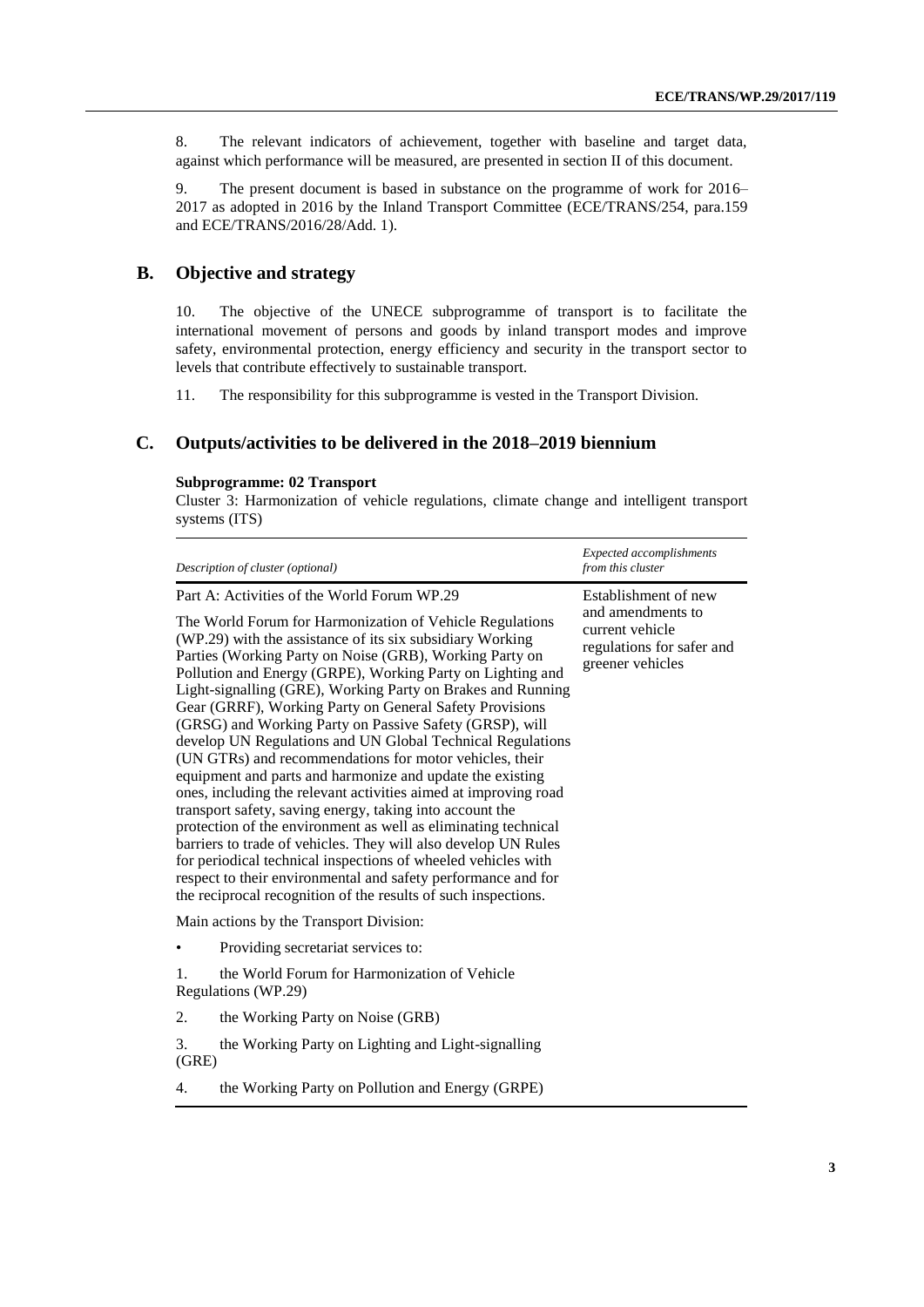8. The relevant indicators of achievement, together with baseline and target data, against which performance will be measured, are presented in section II of this document.

9. The present document is based in substance on the programme of work for 2016– 2017 as adopted in 2016 by the Inland Transport Committee (ECE/TRANS/254, para.159 and ECE/TRANS/2016/28/Add. 1).

### **B. Objective and strategy**

10. The objective of the UNECE subprogramme of transport is to facilitate the international movement of persons and goods by inland transport modes and improve safety, environmental protection, energy efficiency and security in the transport sector to levels that contribute effectively to sustainable transport*.*

11. The responsibility for this subprogramme is vested in the Transport Division.

### **C. Outputs/activities to be delivered in the 2018–2019 biennium**

#### **Subprogramme: 02 Transport**

Cluster 3: Harmonization of vehicle regulations, climate change and intelligent transport systems (ITS)

|             | Description of cluster (optional)                                                                                                                                                                                                                                                                                                                                                                                                                                                                                                                                                                                                                                                                                                           | Expected accomplishments<br>from this cluster                                                                 |  |
|-------------|---------------------------------------------------------------------------------------------------------------------------------------------------------------------------------------------------------------------------------------------------------------------------------------------------------------------------------------------------------------------------------------------------------------------------------------------------------------------------------------------------------------------------------------------------------------------------------------------------------------------------------------------------------------------------------------------------------------------------------------------|---------------------------------------------------------------------------------------------------------------|--|
|             | Part A: Activities of the World Forum WP.29<br>The World Forum for Harmonization of Vehicle Regulations<br>(WP.29) with the assistance of its six subsidiary Working<br>Parties (Working Party on Noise (GRB), Working Party on<br>Pollution and Energy (GRPE), Working Party on Lighting and<br>Light-signalling (GRE), Working Party on Brakes and Running<br>Gear (GRRF), Working Party on General Safety Provisions<br>(GRSG) and Working Party on Passive Safety (GRSP), will<br>develop UN Regulations and UN Global Technical Regulations<br>(UN GTRs) and recommendations for motor vehicles, their<br>equipment and parts and harmonize and update the existing<br>ones, including the relevant activities aimed at improving road | Establishment of new<br>and amendments to<br>current vehicle<br>regulations for safer and<br>greener vehicles |  |
|             | transport safety, saving energy, taking into account the<br>protection of the environment as well as eliminating technical<br>barriers to trade of vehicles. They will also develop UN Rules<br>for periodical technical inspections of wheeled vehicles with<br>respect to their environmental and safety performance and for<br>the reciprocal recognition of the results of such inspections.                                                                                                                                                                                                                                                                                                                                            |                                                                                                               |  |
|             | Main actions by the Transport Division:                                                                                                                                                                                                                                                                                                                                                                                                                                                                                                                                                                                                                                                                                                     |                                                                                                               |  |
|             | Providing secretariat services to:                                                                                                                                                                                                                                                                                                                                                                                                                                                                                                                                                                                                                                                                                                          |                                                                                                               |  |
| 1.          | the World Forum for Harmonization of Vehicle<br>Regulations (WP.29)                                                                                                                                                                                                                                                                                                                                                                                                                                                                                                                                                                                                                                                                         |                                                                                                               |  |
| 2.          | the Working Party on Noise (GRB)                                                                                                                                                                                                                                                                                                                                                                                                                                                                                                                                                                                                                                                                                                            |                                                                                                               |  |
| 3.<br>(GRE) | the Working Party on Lighting and Light-signalling                                                                                                                                                                                                                                                                                                                                                                                                                                                                                                                                                                                                                                                                                          |                                                                                                               |  |
| 4.          | the Working Party on Pollution and Energy (GRPE)                                                                                                                                                                                                                                                                                                                                                                                                                                                                                                                                                                                                                                                                                            |                                                                                                               |  |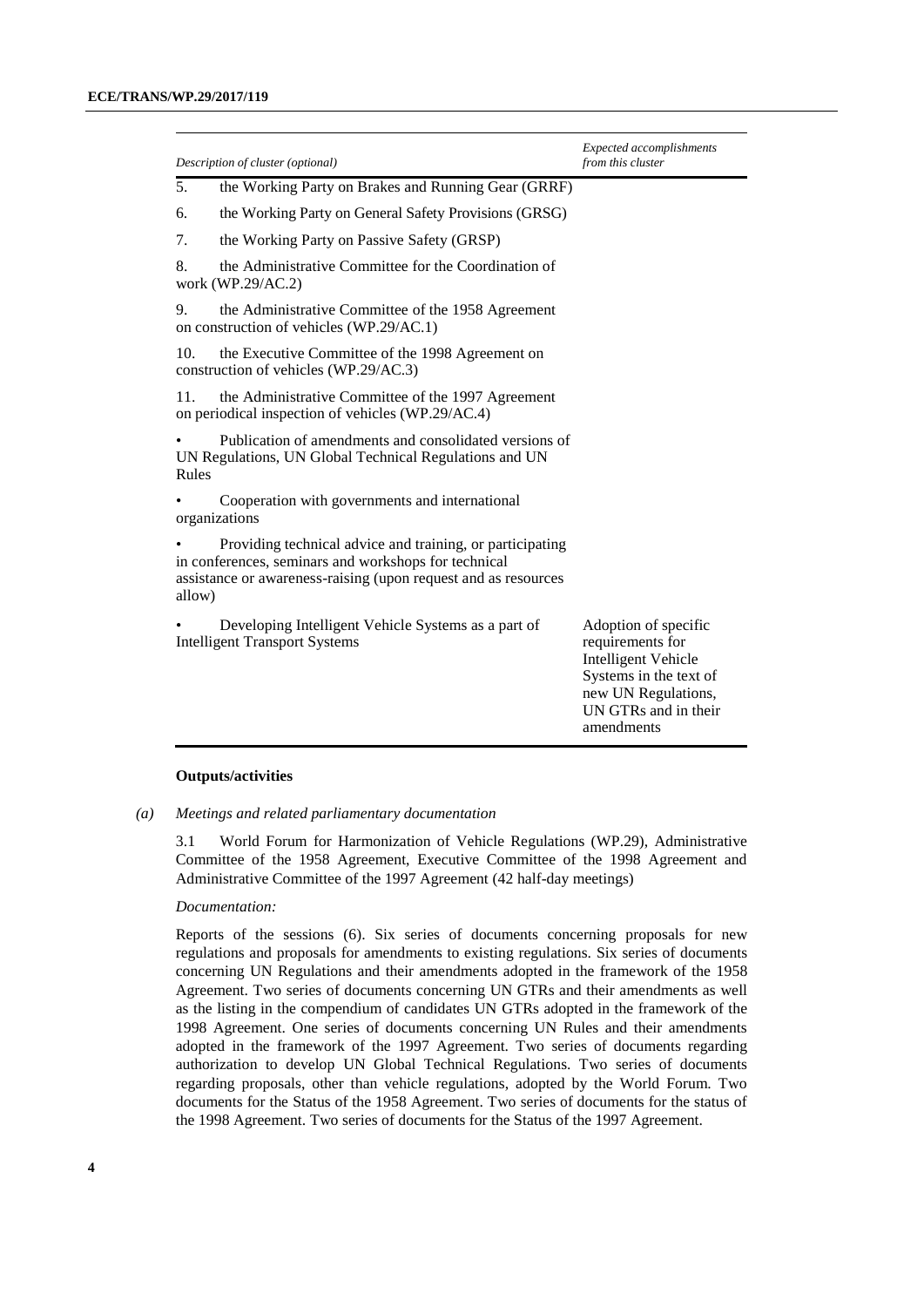|                                                                                                                                                                                               | Description of cluster (optional)                                                                                | <b>Expected accomplishments</b><br>from this cluster                                                                                                          |
|-----------------------------------------------------------------------------------------------------------------------------------------------------------------------------------------------|------------------------------------------------------------------------------------------------------------------|---------------------------------------------------------------------------------------------------------------------------------------------------------------|
| 5.                                                                                                                                                                                            | the Working Party on Brakes and Running Gear (GRRF)                                                              |                                                                                                                                                               |
| 6.                                                                                                                                                                                            | the Working Party on General Safety Provisions (GRSG)                                                            |                                                                                                                                                               |
| 7.                                                                                                                                                                                            | the Working Party on Passive Safety (GRSP)                                                                       |                                                                                                                                                               |
| 8.                                                                                                                                                                                            | the Administrative Committee for the Coordination of<br>work (WP.29/AC.2)                                        |                                                                                                                                                               |
| 9.                                                                                                                                                                                            | the Administrative Committee of the 1958 Agreement<br>on construction of vehicles (WP.29/AC.1)                   |                                                                                                                                                               |
| 10.                                                                                                                                                                                           | the Executive Committee of the 1998 Agreement on<br>construction of vehicles (WP.29/AC.3)                        |                                                                                                                                                               |
| 11.                                                                                                                                                                                           | the Administrative Committee of the 1997 Agreement<br>on periodical inspection of vehicles (WP.29/AC.4)          |                                                                                                                                                               |
| Rules                                                                                                                                                                                         | Publication of amendments and consolidated versions of<br>UN Regulations, UN Global Technical Regulations and UN |                                                                                                                                                               |
|                                                                                                                                                                                               | Cooperation with governments and international<br>organizations                                                  |                                                                                                                                                               |
| Providing technical advice and training, or participating<br>in conferences, seminars and workshops for technical<br>assistance or awareness-raising (upon request and as resources<br>allow) |                                                                                                                  |                                                                                                                                                               |
|                                                                                                                                                                                               | Developing Intelligent Vehicle Systems as a part of<br><b>Intelligent Transport Systems</b>                      | Adoption of specific<br>requirements for<br><b>Intelligent Vehicle</b><br>Systems in the text of<br>new UN Regulations,<br>UN GTRs and in their<br>amendments |

#### **Outputs/activities**

*(a) Meetings and related parliamentary documentation*

3.1 World Forum for Harmonization of Vehicle Regulations (WP.29), Administrative Committee of the 1958 Agreement, Executive Committee of the 1998 Agreement and Administrative Committee of the 1997 Agreement (42 half-day meetings)

#### *Documentation:*

Reports of the sessions (6). Six series of documents concerning proposals for new regulations and proposals for amendments to existing regulations. Six series of documents concerning UN Regulations and their amendments adopted in the framework of the 1958 Agreement. Two series of documents concerning UN GTRs and their amendments as well as the listing in the compendium of candidates UN GTRs adopted in the framework of the 1998 Agreement. One series of documents concerning UN Rules and their amendments adopted in the framework of the 1997 Agreement. Two series of documents regarding authorization to develop UN Global Technical Regulations. Two series of documents regarding proposals, other than vehicle regulations, adopted by the World Forum. Two documents for the Status of the 1958 Agreement. Two series of documents for the status of the 1998 Agreement. Two series of documents for the Status of the 1997 Agreement.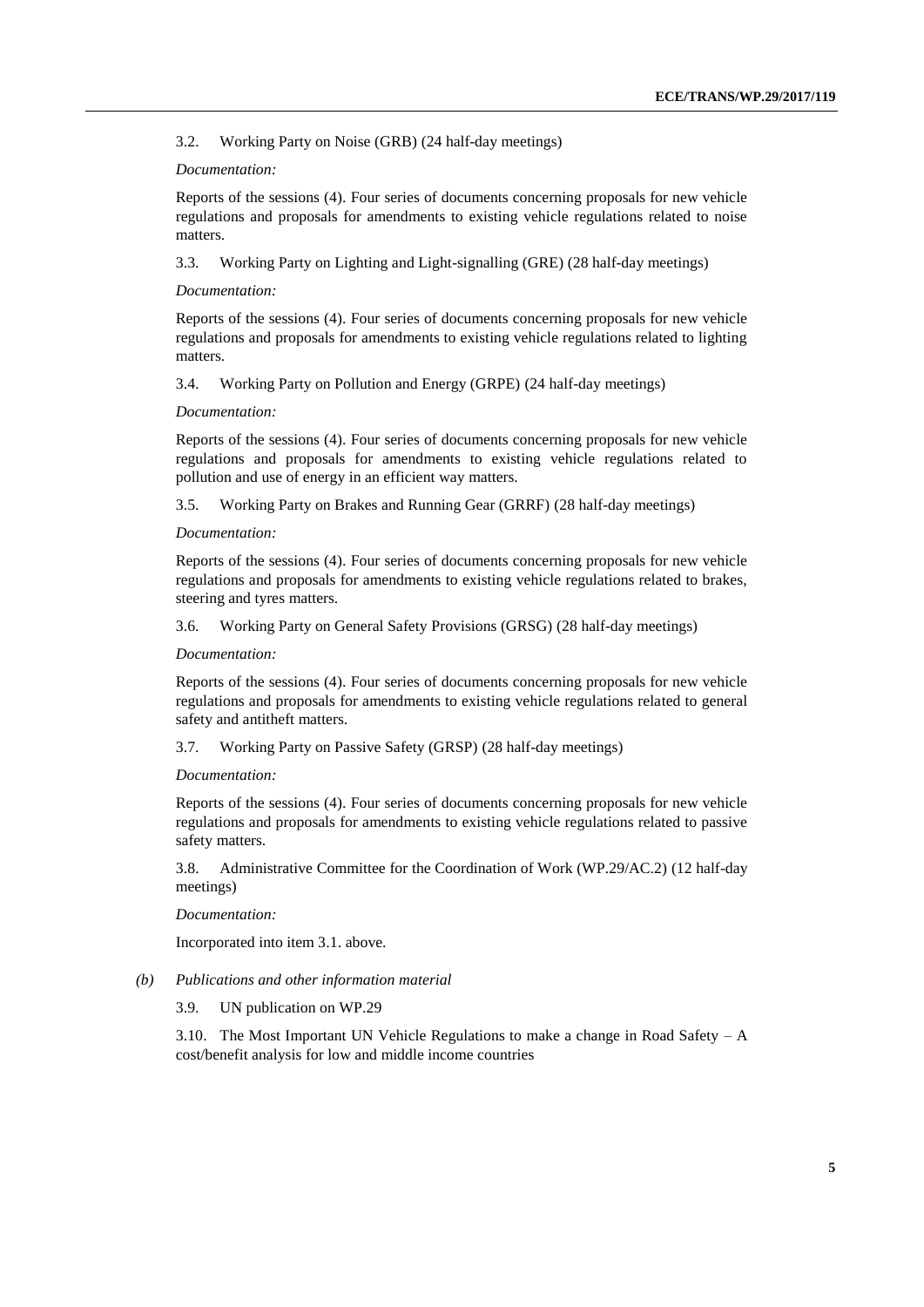3.2. Working Party on Noise (GRB) (24 half-day meetings)

#### *Documentation:*

Reports of the sessions (4). Four series of documents concerning proposals for new vehicle regulations and proposals for amendments to existing vehicle regulations related to noise matters.

3.3. Working Party on Lighting and Light-signalling (GRE) (28 half-day meetings)

#### *Documentation:*

Reports of the sessions (4). Four series of documents concerning proposals for new vehicle regulations and proposals for amendments to existing vehicle regulations related to lighting matters.

3.4. Working Party on Pollution and Energy (GRPE) (24 half-day meetings)

#### *Documentation:*

Reports of the sessions (4). Four series of documents concerning proposals for new vehicle regulations and proposals for amendments to existing vehicle regulations related to pollution and use of energy in an efficient way matters.

3.5. Working Party on Brakes and Running Gear (GRRF) (28 half-day meetings)

#### *Documentation:*

Reports of the sessions (4). Four series of documents concerning proposals for new vehicle regulations and proposals for amendments to existing vehicle regulations related to brakes, steering and tyres matters.

3.6. Working Party on General Safety Provisions (GRSG) (28 half-day meetings)

#### *Documentation:*

Reports of the sessions (4). Four series of documents concerning proposals for new vehicle regulations and proposals for amendments to existing vehicle regulations related to general safety and antitheft matters.

3.7. Working Party on Passive Safety (GRSP) (28 half-day meetings)

#### *Documentation:*

Reports of the sessions (4). Four series of documents concerning proposals for new vehicle regulations and proposals for amendments to existing vehicle regulations related to passive safety matters.

3.8. Administrative Committee for the Coordination of Work (WP.29/AC.2) (12 half-day meetings)

#### *Documentation:*

Incorporated into item 3.1. above.

#### *(b) Publications and other information material*

#### 3.9. UN publication on WP.29

3.10. The Most Important UN Vehicle Regulations to make a change in Road Safety – A cost/benefit analysis for low and middle income countries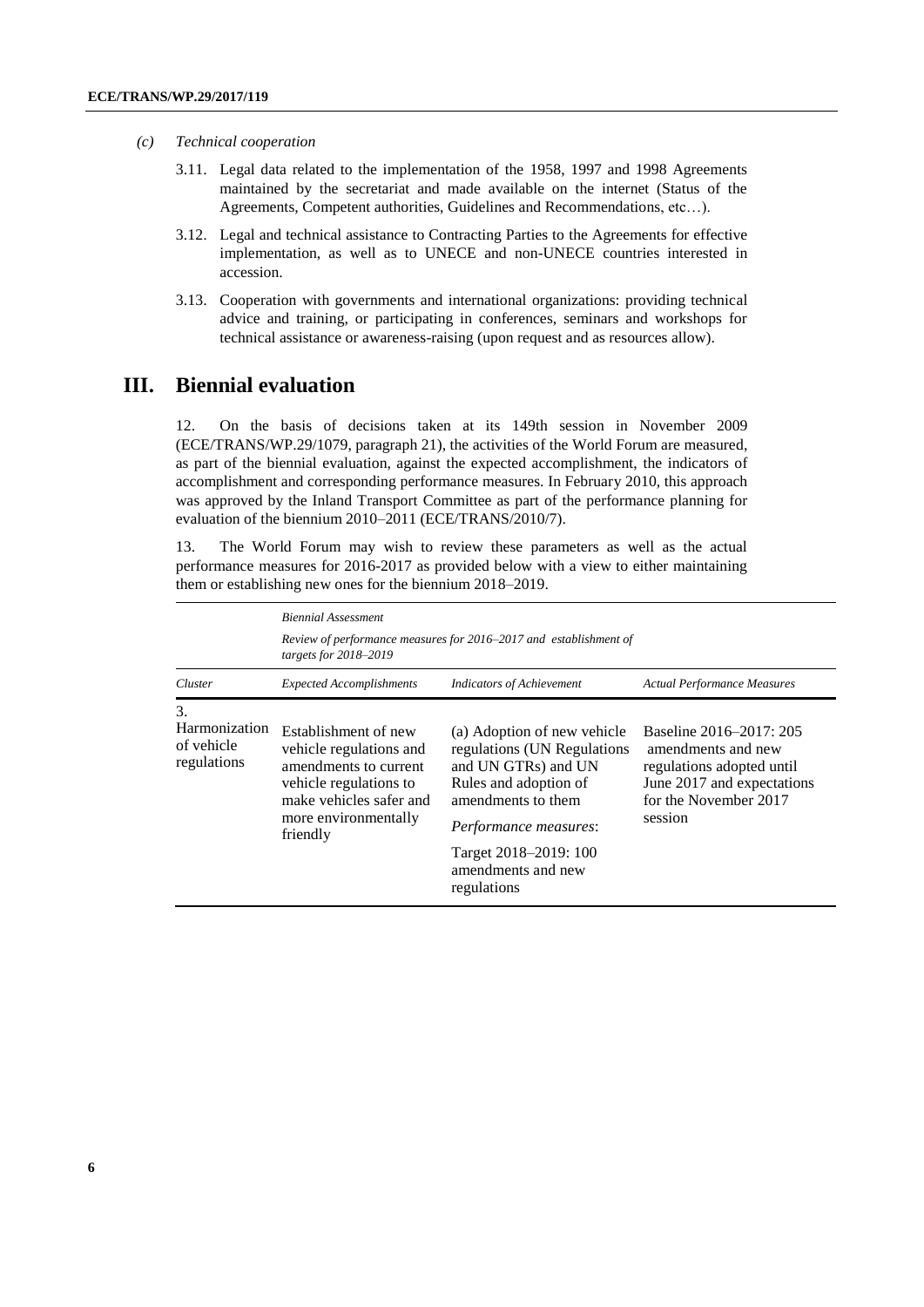- *(c) Technical cooperation*
	- 3.11. Legal data related to the implementation of the 1958, 1997 and 1998 Agreements maintained by the secretariat and made available on the internet (Status of the Agreements, Competent authorities, Guidelines and Recommendations, etc…).
	- 3.12. Legal and technical assistance to Contracting Parties to the Agreements for effective implementation, as well as to UNECE and non-UNECE countries interested in accession.
	- 3.13. Cooperation with governments and international organizations: providing technical advice and training, or participating in conferences, seminars and workshops for technical assistance or awareness-raising (upon request and as resources allow).

### **III. Biennial evaluation**

12. On the basis of decisions taken at its 149th session in November 2009 (ECE/TRANS/WP.29/1079, paragraph 21), the activities of the World Forum are measured, as part of the biennial evaluation, against the expected accomplishment, the indicators of accomplishment and corresponding performance measures. In February 2010, this approach was approved by the Inland Transport Committee as part of the performance planning for evaluation of the biennium 2010–2011 (ECE/TRANS/2010/7).

13. The World Forum may wish to review these parameters as well as the actual performance measures for 2016-2017 as provided below with a view to either maintaining them or establishing new ones for the biennium 2018–2019.

|                                                  | <b>Biennial Assessment</b>                                                                                                                                        |                                                                                                                                                                                                                         |                                                                                                                                              |  |  |
|--------------------------------------------------|-------------------------------------------------------------------------------------------------------------------------------------------------------------------|-------------------------------------------------------------------------------------------------------------------------------------------------------------------------------------------------------------------------|----------------------------------------------------------------------------------------------------------------------------------------------|--|--|
|                                                  | Review of performance measures for 2016–2017 and establishment of<br>targets for 2018-2019                                                                        |                                                                                                                                                                                                                         |                                                                                                                                              |  |  |
| Cluster                                          | <b>Expected Accomplishments</b>                                                                                                                                   | <b>Indicators of Achievement</b>                                                                                                                                                                                        | <b>Actual Performance Measures</b>                                                                                                           |  |  |
| 3.<br>Harmonization<br>of vehicle<br>regulations | Establishment of new<br>vehicle regulations and<br>amendments to current<br>vehicle regulations to<br>make vehicles safer and<br>more environmentally<br>friendly | (a) Adoption of new vehicle<br>regulations (UN Regulations<br>and UN GTRs) and UN<br>Rules and adoption of<br>amendments to them<br>Performance measures:<br>Target 2018–2019: 100<br>amendments and new<br>regulations | Baseline 2016–2017: 205<br>amendments and new<br>regulations adopted until<br>June 2017 and expectations<br>for the November 2017<br>session |  |  |